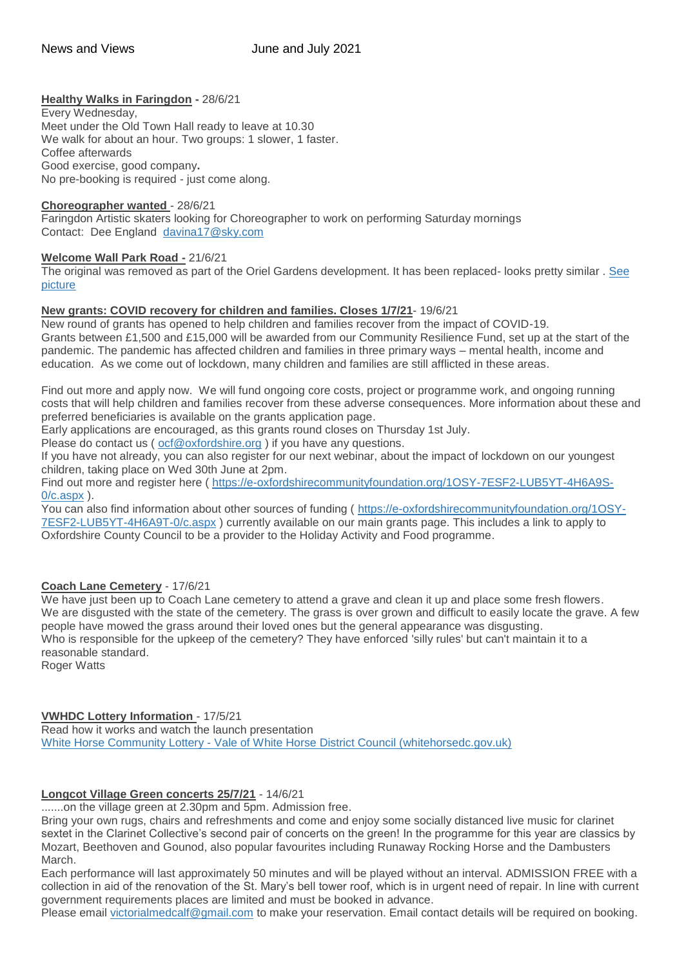## **Healthy Walks in Faringdon -** 28/6/21

Every Wednesday, Meet under the Old Town Hall ready to leave at 10.30 We walk for about an hour. Two groups: 1 slower, 1 faster. Coffee afterwards Good exercise, good company**.** No pre-booking is required - just come along.

#### **Choreographer wanted** - 28/6/21

Faringdon Artistic skaters looking for Choreographer to work on performing Saturday mornings Contact: Dee England [davina17@sky.com](mailto:davina17@sky.com)

#### **Welcome Wall Park Road -** 21/6/21

The original was removed as part of the Oriel Gardens development. It has been replaced- looks pretty similar . [See](http://weebly-file/1/4/7/6/14765418/welcome_wall__2_.jpg)  [picture](http://weebly-file/1/4/7/6/14765418/welcome_wall__2_.jpg)

#### **New grants: COVID recovery for children and families. Closes 1/7/21**- 19/6/21

New round of grants has opened to help children and families recover from the impact of COVID-19. Grants between £1,500 and £15,000 will be awarded from our Community Resilience Fund, set up at the start of the pandemic. The pandemic has affected children and families in three primary ways – mental health, income and education. As we come out of lockdown, many children and families are still afflicted in these areas.

Find out more and apply now. We will fund ongoing core costs, project or programme work, and ongoing running costs that will help children and families recover from these adverse consequences. More information about these and preferred beneficiaries is available on the grants application page.

Early applications are encouraged, as this grants round closes on Thursday 1st July.

Please do contact us ( $ocf@oxfordshire.org$ ) if you have any questions.

If you have not already, you can also register for our next webinar, about the impact of lockdown on our youngest children, taking place on Wed 30th June at 2pm.

Find out more and register here ( [https://e-oxfordshirecommunityfoundation.org/1OSY-7ESF2-LUB5YT-4H6A9S-](https://e-oxfordshirecommunityfoundation.org/1OSY-7ESF2-LUB5YT-4H6A9S-0/c.aspx)[0/c.aspx](https://e-oxfordshirecommunityfoundation.org/1OSY-7ESF2-LUB5YT-4H6A9S-0/c.aspx) ).

You can also find information about other sources of funding ( [https://e-oxfordshirecommunityfoundation.org/1OSY-](https://e-oxfordshirecommunityfoundation.org/1OSY-7ESF2-LUB5YT-4H6A9T-0/c.aspx)[7ESF2-LUB5YT-4H6A9T-0/c.aspx](https://e-oxfordshirecommunityfoundation.org/1OSY-7ESF2-LUB5YT-4H6A9T-0/c.aspx) ) currently available on our main grants page. This includes a link to apply to Oxfordshire County Council to be a provider to the Holiday Activity and Food programme.

## **Coach Lane Cemetery** - 17/6/21

We have just been up to Coach Lane cemetery to attend a grave and clean it up and place some fresh flowers. We are disgusted with the state of the cemetery. The grass is over grown and difficult to easily locate the grave. A few people have mowed the grass around their loved ones but the general appearance was disgusting. Who is responsible for the upkeep of the cemetery? They have enforced 'silly rules' but can't maintain it to a reasonable standard. **Roger Watts** 

## **VWHDC Lottery Information** - 17/5/21

Read how it works and watch the launch presentation White Horse Community Lottery - [Vale of White Horse District Council \(whitehorsedc.gov.uk\)](https://www.whitehorsedc.gov.uk/vale-of-white-horse-district-council/community-support/white-horse-community-lottery/)

## **Longcot Village Green concerts 25/7/21** - 14/6/21

.......on the village green at 2.30pm and 5pm. Admission free.

Bring your own rugs, chairs and refreshments and come and enjoy some socially distanced live music for clarinet sextet in the Clarinet Collective's second pair of concerts on the green! In the programme for this year are classics by Mozart, Beethoven and Gounod, also popular favourites including Runaway Rocking Horse and the Dambusters March.

Each performance will last approximately 50 minutes and will be played without an interval. ADMISSION FREE with a collection in aid of the renovation of the St. Mary's bell tower roof, which is in urgent need of repair. In line with current government requirements places are limited and must be booked in advance.

Please email [victorialmedcalf@gmail.com](mailto:victorialmedcalf@gmail.com) to make your reservation. Email contact details will be required on booking.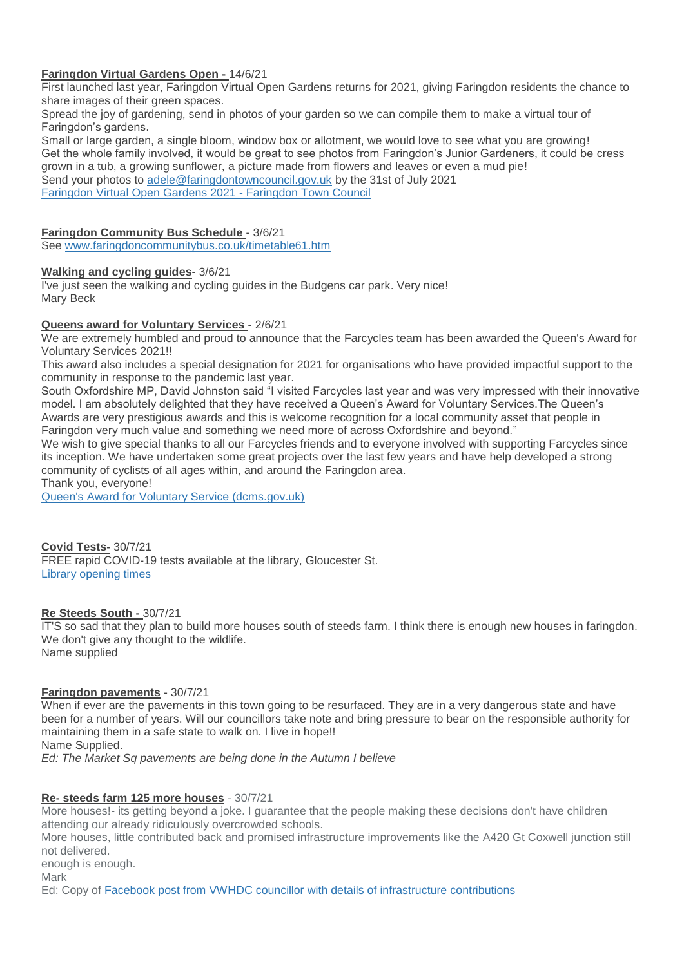## **Faringdon Virtual Gardens Open -** 14/6/21

First launched last year, Faringdon Virtual Open Gardens returns for 2021, giving Faringdon residents the chance to share images of their green spaces.

Spread the joy of gardening, send in photos of your garden so we can compile them to make a virtual tour of Faringdon's gardens.

Small or large garden, a single bloom, window box or allotment, we would love to see what you are growing! Get the whole family involved, it would be great to see photos from Faringdon's Junior Gardeners, it could be cress grown in a tub, a growing sunflower, a picture made from flowers and leaves or even a mud pie! Send your photos to [adele@faringdontowncouncil.gov.uk](mailto:adele@faringdontowncouncil.gov.uk) by the 31st of July 2021 [Faringdon Virtual Open Gardens 2021 -](https://www.faringdontowncouncil.gov.uk/faringdon-virtual-open-gardens-2021/) Faringdon Town Council

## **Faringdon Community Bus Schedule** - 3/6/21

See [www.faringdoncommunitybus.co.uk/timetable61.htm](http://www.faringdoncommunitybus.co.uk/timetable61.htm)

#### **Walking and cycling guides**- 3/6/21

I've just seen the walking and cycling guides in the Budgens car park. Very nice! Mary Beck

#### **Queens award for Voluntary Services** - 2/6/21

We are extremely humbled and proud to announce that the Farcycles team has been awarded the Queen's Award for Voluntary Services 2021!!

This award also includes a special designation for 2021 for organisations who have provided impactful support to the community in response to the pandemic last year.

South Oxfordshire MP, David Johnston said "I visited Farcycles last year and was very impressed with their innovative model. I am absolutely delighted that they have received a Queen's Award for Voluntary Services.The Queen's Awards are very prestigious awards and this is welcome recognition for a local community asset that people in Faringdon very much value and something we need more of across Oxfordshire and beyond."

We wish to give special thanks to all our Farcycles friends and to everyone involved with supporting Farcycles since its inception. We have undertaken some great projects over the last few years and have help developed a strong community of cyclists of all ages within, and around the Faringdon area.

Thank you, everyone!

[Queen's Award for Voluntary Service \(dcms.gov.uk\)](https://qavs.dcms.gov.uk/)

#### **Covid Tests-** 30/7/21 FREE rapid COVID-19 tests available at the library, Gloucester St. [Library opening times](https://www.oxfordshire.gov.uk/residents/leisure-and-culture/libraries/find-library/faringdon-library)

#### **Re Steeds South -** 30/7/21

IT'S so sad that they plan to build more houses south of steeds farm. I think there is enough new houses in faringdon. We don't give any thought to the wildlife. Name supplied

#### **Faringdon pavements** - 30/7/21

When if ever are the pavements in this town going to be resurfaced. They are in a very dangerous state and have been for a number of years. Will our councillors take note and bring pressure to bear on the responsible authority for maintaining them in a safe state to walk on. I live in hope!! Name Supplied.

*Ed: The Market Sq pavements are being done in the Autumn I believe*

## **Re- steeds farm 125 more houses** - 30/7/21

More houses!- its getting beyond a joke. I guarantee that the people making these decisions don't have children attending our already ridiculously overcrowded schools. More houses, little contributed back and promised infrastructure improvements like the A420 Gt Coxwell junction still not delivered. enough is enough. Mark Ed: Copy of [Facebook post from VWHDC councillor with details of infrastructure contributions](http://weebly-file/1/4/7/6/14765418/vwhdc_cllr_post_on_facebook.docx)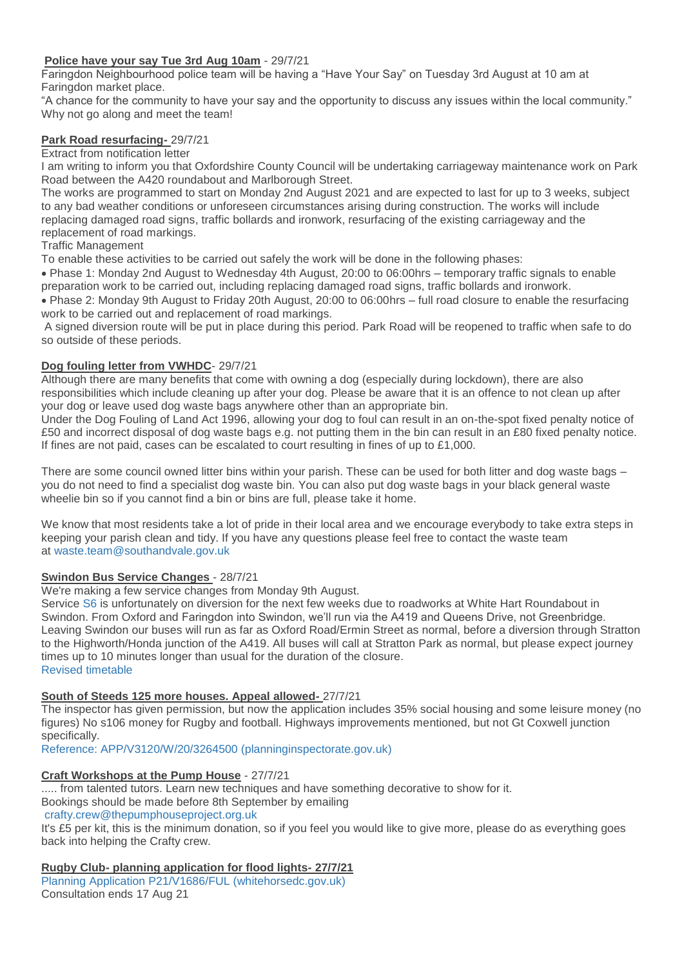## **Police have your say Tue 3rd Aug 10am** - 29/7/21

Faringdon Neighbourhood police team will be having a "Have Your Say" on Tuesday 3rd August at 10 am at Faringdon market place.

"A chance for the community to have your say and the opportunity to discuss any issues within the local community." Why not go along and meet the team!

## **Park Road resurfacing-** 29/7/21

Extract from notification letter

I am writing to inform you that Oxfordshire County Council will be undertaking carriageway maintenance work on Park Road between the A420 roundabout and Marlborough Street.

The works are programmed to start on Monday 2nd August 2021 and are expected to last for up to 3 weeks, subject to any bad weather conditions or unforeseen circumstances arising during construction. The works will include replacing damaged road signs, traffic bollards and ironwork, resurfacing of the existing carriageway and the replacement of road markings.

## Traffic Management

To enable these activities to be carried out safely the work will be done in the following phases:

 Phase 1: Monday 2nd August to Wednesday 4th August, 20:00 to 06:00hrs – temporary traffic signals to enable preparation work to be carried out, including replacing damaged road signs, traffic bollards and ironwork.

 Phase 2: Monday 9th August to Friday 20th August, 20:00 to 06:00hrs – full road closure to enable the resurfacing work to be carried out and replacement of road markings.

A signed diversion route will be put in place during this period. Park Road will be reopened to traffic when safe to do so outside of these periods.

## **Dog fouling letter from VWHDC**- 29/7/21

Although there are many benefits that come with owning a dog (especially during lockdown), there are also responsibilities which include cleaning up after your dog. Please be aware that it is an offence to not clean up after your dog or leave used dog waste bags anywhere other than an appropriate bin.

Under the Dog Fouling of Land Act 1996, allowing your dog to foul can result in an on-the-spot fixed penalty notice of £50 and incorrect disposal of dog waste bags e.g. not putting them in the bin can result in an £80 fixed penalty notice. If fines are not paid, cases can be escalated to court resulting in fines of up to £1,000.

There are some council owned litter bins within your parish. These can be used for both litter and dog waste bags – you do not need to find a specialist dog waste bin. You can also put dog waste bags in your black general waste wheelie bin so if you cannot find a bin or bins are full, please take it home.

We know that most residents take a lot of pride in their local area and we encourage everybody to take extra steps in keeping your parish clean and tidy. If you have any questions please feel free to contact the waste team at [waste.team@southandvale.gov.uk](mailto:waste.team@southandvale.gov.uk)

## **Swindon Bus Service Changes** - 28/7/21

We're making a few service changes from Monday 9th August.

Service [S6](https://tiscon-maps-stagecoachbus.s3.amazonaws.com/Timetables/West/2021/S6090821.pdf) is unfortunately on diversion for the next few weeks due to roadworks at White Hart Roundabout in Swindon. From Oxford and Faringdon into Swindon, we'll run via the A419 and Queens Drive, not Greenbridge. Leaving Swindon our buses will run as far as Oxford Road/Ermin Street as normal, before a diversion through Stratton to the Highworth/Honda junction of the A419. All buses will call at Stratton Park as normal, but please expect journey times up to 10 minutes longer than usual for the duration of the closure. [Revised timetable](https://tiscon-maps-stagecoachbus.s3.amazonaws.com/Timetables/West/2021/S6090821.pdf)

## **South of Steeds 125 more houses. Appeal allowed-** 27/7/21

The inspector has given permission, but now the application includes 35% social housing and some leisure money (no figures) No s106 money for Rugby and football. Highways improvements mentioned, but not Gt Coxwell junction specifically.

[Reference: APP/V3120/W/20/3264500 \(planninginspectorate.gov.uk\)](https://acp.planninginspectorate.gov.uk/ViewCase.aspx?caseid=3264500)

## **Craft Workshops at the Pump House** - 27/7/21

..... from talented tutors. Learn new techniques and have something decorative to show for it. Bookings should be made before 8th September by emailing [crafty.crew@thepumphouseproject.org.uk](mailto:crafty.crew@thepumphouseproject.org.uk)

It's £5 per kit, this is the minimum donation, so if you feel you would like to give more, please do as everything goes back into helping the Crafty crew.

## **Rugby Club- planning application for flood lights- 27/7/21**

[Planning Application P21/V1686/FUL \(whitehorsedc.gov.uk\)](https://data.whitehorsedc.gov.uk/java/support/Main.jsp?MODULE=ApplicationDetails&REF=P21/V1686/FUL) Consultation ends 17 Aug 21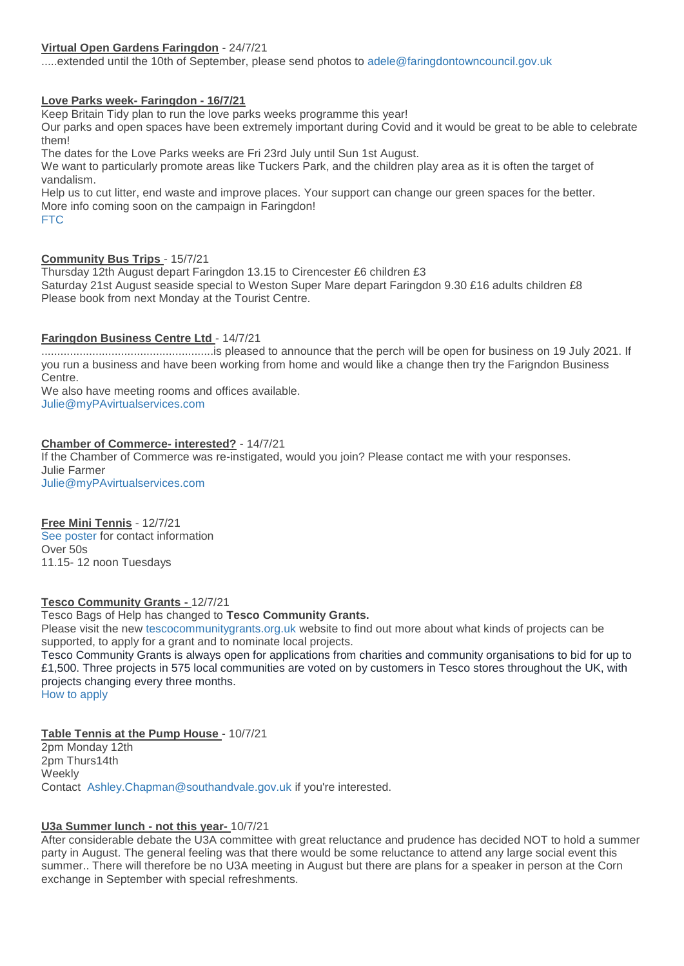## **Virtual Open Gardens Faringdon** - 24/7/21

.....extended until the 10th of September, please send photos to [adele@faringdontowncouncil.gov.uk](mailto:adele@faringdontowncouncil.gov.uk)

## **Love Parks week- Faringdon - 16/7/21**

Keep Britain Tidy plan to run the love parks weeks programme this year!

Our parks and open spaces have been extremely important during Covid and it would be great to be able to celebrate them!

The dates for the Love Parks weeks are Fri 23rd July until Sun 1st August.

We want to particularly promote areas like Tuckers Park, and the children play area as it is often the target of vandalism.

Help us to cut litter, end waste and improve places. Your support can change our green spaces for the better. More info coming soon on the campaign in Faringdon!

#### [FTC](https://www.faringdontowncouncil.gov.uk/?section=23)

## **Community Bus Trips** - 15/7/21

Thursday 12th August depart Faringdon 13.15 to Cirencester £6 children £3 Saturday 21st August seaside special to Weston Super Mare depart Faringdon 9.30 £16 adults children £8 Please book from next Monday at the Tourist Centre.

## **Faringdon Business Centre Ltd** - 14/7/21

......................................................is pleased to announce that the perch will be open for business on 19 July 2021. If you run a business and have been working from home and would like a change then try the Farigndon Business Centre.

We also have meeting rooms and offices available. [Julie@myPAvirtualservices.com](mailto:Julie@myPAvirtualservices.com)

## **Chamber of Commerce- interested?** - 14/7/21

If the Chamber of Commerce was re-instigated, would you join? Please contact me with your responses. Julie Farmer

[Julie@myPAvirtualservices.com](mailto:Julie@myPAvirtualservices.com)

## **Free Mini Tennis** - 12/7/21

[See poster](http://weebly-file/1/4/7/6/14765418/faringdon-mini-tennis-v2-003.jpg) for contact information Over 50s 11.15- 12 noon Tuesdays

**Tesco Community Grants -** 12/7/21

## Tesco Bags of Help has changed to **Tesco Community Grants.**

Please visit the new [tescocommunitygrants.org.uk](http://tescocommunitygrants.org.uk/) website to find out more about what kinds of projects can be supported, to apply for a grant and to nominate local projects.

Tesco Community Grants is always open for applications from charities and community organisations to bid for up to £1,500. Three projects in 575 local communities are voted on by customers in Tesco stores throughout the UK, with projects changing every three months.

[How to apply](https://tescocommunitygrants.org.uk/apply-for-a-grant/)

## **Table Tennis at the Pump House** - 10/7/21

2pm Monday 12th 2pm Thurs14th **Weekly** Contact [Ashley.Chapman@southandvale.gov.uk](mailto:Ashley.Chapman@southandvale.gov.uk) if you're interested.

## **U3a Summer lunch - not this year-** 10/7/21

After considerable debate the U3A committee with great reluctance and prudence has decided NOT to hold a summer party in August. The general feeling was that there would be some reluctance to attend any large social event this summer.. There will therefore be no U3A meeting in August but there are plans for a speaker in person at the Corn exchange in September with special refreshments.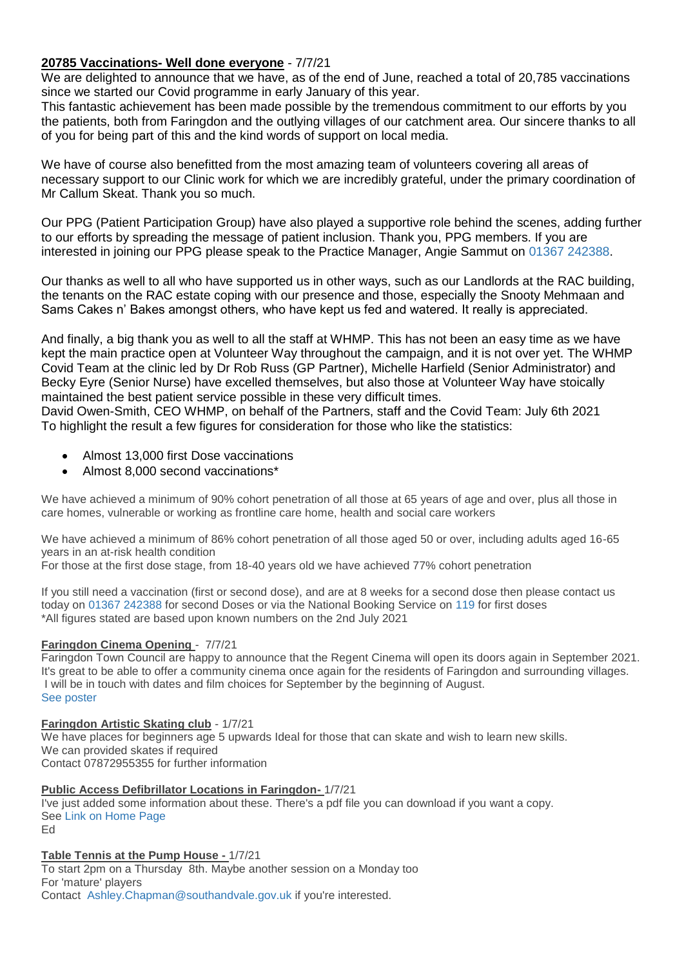# **20785 Vaccinations- Well done everyone** - 7/7/21

We are delighted to announce that we have, as of the end of June, reached a total of 20,785 vaccinations since we started our Covid programme in early January of this year.

This fantastic achievement has been made possible by the tremendous commitment to our efforts by you the patients, both from Faringdon and the outlying villages of our catchment area. Our sincere thanks to all of you for being part of this and the kind words of support on local media.

We have of course also benefitted from the most amazing team of volunteers covering all areas of necessary support to our Clinic work for which we are incredibly grateful, under the primary coordination of Mr Callum Skeat. Thank you so much.

Our PPG (Patient Participation Group) have also played a supportive role behind the scenes, adding further to our efforts by spreading the message of patient inclusion. Thank you, PPG members. If you are interested in joining our PPG please speak to the Practice Manager, Angie Sammut on [01367 242388.](http://callto:01367242388/)

Our thanks as well to all who have supported us in other ways, such as our Landlords at the RAC building, the tenants on the RAC estate coping with our presence and those, especially the Snooty Mehmaan and Sams Cakes n' Bakes amongst others, who have kept us fed and watered. It really is appreciated.

And finally, a big thank you as well to all the staff at WHMP. This has not been an easy time as we have kept the main practice open at Volunteer Way throughout the campaign, and it is not over yet. The WHMP Covid Team at the clinic led by Dr Rob Russ (GP Partner), Michelle Harfield (Senior Administrator) and Becky Eyre (Senior Nurse) have excelled themselves, but also those at Volunteer Way have stoically maintained the best patient service possible in these very difficult times.

David Owen-Smith, CEO WHMP, on behalf of the Partners, staff and the Covid Team: July 6th 2021 To highlight the result a few figures for consideration for those who like the statistics:

- Almost 13,000 first Dose vaccinations
- Almost 8,000 second vaccinations\*

We have achieved a minimum of 90% cohort penetration of all those at 65 years of age and over, plus all those in care homes, vulnerable or working as frontline care home, health and social care workers

We have achieved a minimum of 86% cohort penetration of all those aged 50 or over, including adults aged 16-65 years in an at-risk health condition

For those at the first dose stage, from 18-40 years old we have achieved 77% cohort penetration

If you still need a vaccination (first or second dose), and are at 8 weeks for a second dose then please contact us today on [01367 242388](http://callto:01367242388/) for second Doses or via the National Booking Service on [119](http://callto:119/) for first doses \*All figures stated are based upon known numbers on the 2nd July 2021

# **Faringdon Cinema Opening** - 7/7/21

Faringdon Town Council are happy to announce that the Regent Cinema will open its doors again in September 2021. It's great to be able to offer a community cinema once again for the residents of Faringdon and surrounding villages. I will be in touch with dates and film choices for September by the beginning of August. [See poster](http://weebly-link/267885977289169690)

## **Faringdon Artistic Skating club** - 1/7/21

We have places for beginners age 5 upwards Ideal for those that can skate and wish to learn new skills. We can provided skates if required Contact 07872955355 for further information

## **Public Access Defibrillator Locations in Faringdon-** 1/7/21

I've just added some information about these. There's a pdf file you can download if you want a copy. See [Link on Home Page](http://weebly-link/128169727560691824) Ed

# **Table Tennis at the Pump House -** 1/7/21

To start 2pm on a Thursday 8th. Maybe another session on a Monday too For 'mature' players

Contact [Ashley.Chapman@southandvale.gov.uk](mailto:Ashley.Chapman@southandvale.gov.uk) if you're interested.